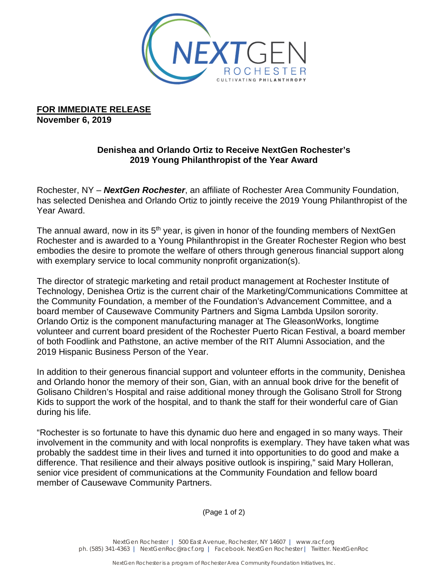

**FOR IMMEDIATE RELEASE November 6, 2019**

## **Denishea and Orlando Ortiz to Receive NextGen Rochester's 2019 Young Philanthropist of the Year Award**

Rochester, NY – *NextGen Rochester*, an affiliate of Rochester Area Community Foundation, has selected Denishea and Orlando Ortiz to jointly receive the 2019 Young Philanthropist of the Year Award.

The annual award, now in its 5<sup>th</sup> year, is given in honor of the founding members of NextGen Rochester and is awarded to a Young Philanthropist in the Greater Rochester Region who best embodies the desire to promote the welfare of others through generous financial support along with exemplary service to local community nonprofit organization(s).

The director of strategic marketing and retail product management at Rochester Institute of Technology, Denishea Ortiz is the current chair of the Marketing/Communications Committee at the Community Foundation, a member of the Foundation's Advancement Committee, and a board member of Causewave Community Partners and Sigma Lambda Upsilon sorority. Orlando Ortiz is the component manufacturing manager at The GleasonWorks, longtime volunteer and current board president of the Rochester Puerto Rican Festival, a board member of both Foodlink and Pathstone, an active member of the RIT Alumni Association, and the 2019 Hispanic Business Person of the Year.

In addition to their generous financial support and volunteer efforts in the community, Denishea and Orlando honor the memory of their son, Gian, with an annual book drive for the benefit of Golisano Children's Hospital and raise additional money through the Golisano Stroll for Strong Kids to support the work of the hospital, and to thank the staff for their wonderful care of Gian during his life.

"Rochester is so fortunate to have this dynamic duo here and engaged in so many ways. Their involvement in the community and with local nonprofits is exemplary. They have taken what was probably the saddest time in their lives and turned it into opportunities to do good and make a difference. That resilience and their always positive outlook is inspiring," said Mary Holleran, senior vice president of communications at the Community Foundation and fellow board member of Causewave Community Partners.

(Page 1 of 2)